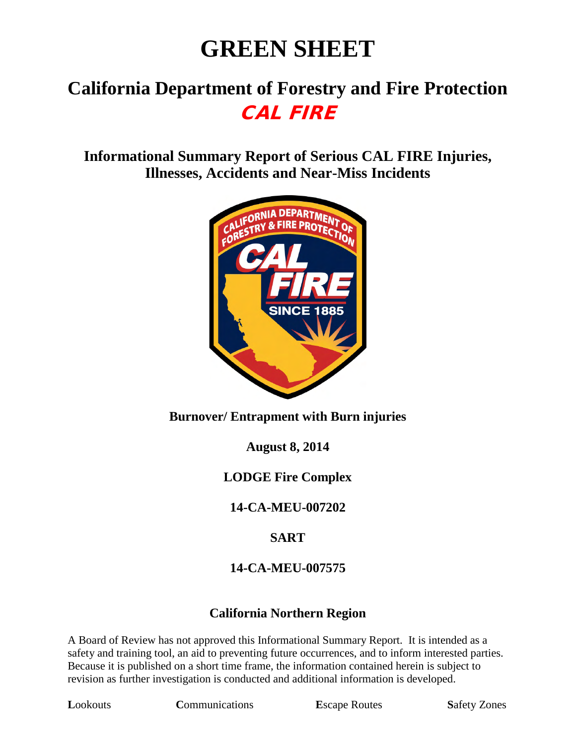# **GREEN SHEET**

# **California Department of Forestry and Fire Protection** CAL FIRE

**Informational Summary Report of Serious CAL FIRE Injuries, Illnesses, Accidents and Near-Miss Incidents**



### **Burnover/ Entrapment with Burn injuries**

**August 8, 2014** 

### **LODGE Fire Complex**

**14-CA-MEU-007202**

### **SART**

### **14-CA-MEU-007575**

### **California Northern Region**

A Board of Review has not approved this Informational Summary Report. It is intended as a safety and training tool, an aid to preventing future occurrences, and to inform interested parties. Because it is published on a short time frame, the information contained herein is subject to revision as further investigation is conducted and additional information is developed.

**Lookouts Communications E**scape Routes **Safety Zones**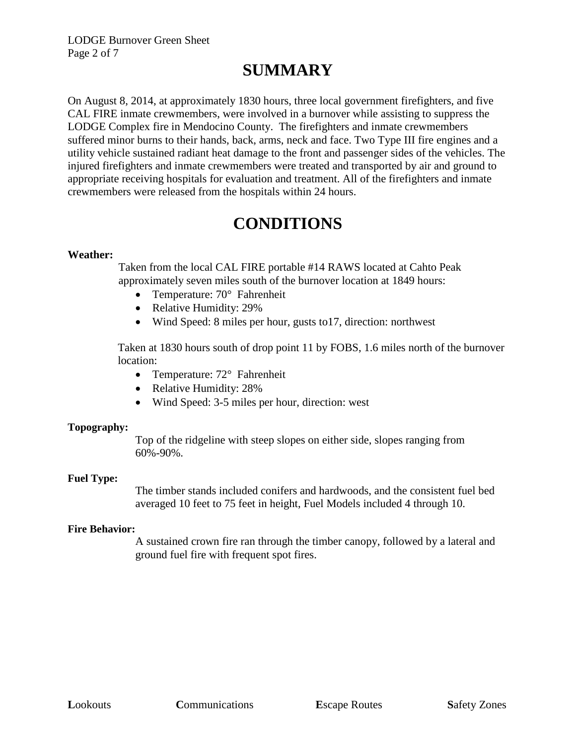# **SUMMARY**

On August 8, 2014, at approximately 1830 hours, three local government firefighters, and five CAL FIRE inmate crewmembers, were involved in a burnover while assisting to suppress the LODGE Complex fire in Mendocino County. The firefighters and inmate crewmembers suffered minor burns to their hands, back, arms, neck and face. Two Type III fire engines and a utility vehicle sustained radiant heat damage to the front and passenger sides of the vehicles. The injured firefighters and inmate crewmembers were treated and transported by air and ground to appropriate receiving hospitals for evaluation and treatment. All of the firefighters and inmate crewmembers were released from the hospitals within 24 hours.

### **CONDITIONS**

#### **Weather:**

Taken from the local CAL FIRE portable #14 RAWS located at Cahto Peak approximately seven miles south of the burnover location at 1849 hours:

- Temperature: 70° Fahrenheit
- Relative Humidity: 29%
- Wind Speed: 8 miles per hour, gusts to 17, direction: northwest

Taken at 1830 hours south of drop point 11 by FOBS, 1.6 miles north of the burnover location:

- Temperature: 72° Fahrenheit
- Relative Humidity: 28%
- Wind Speed: 3-5 miles per hour, direction: west

#### **Topography:**

Top of the ridgeline with steep slopes on either side, slopes ranging from 60%-90%.

#### **Fuel Type:**

The timber stands included conifers and hardwoods, and the consistent fuel bed averaged 10 feet to 75 feet in height, Fuel Models included 4 through 10.

#### **Fire Behavior:**

A sustained crown fire ran through the timber canopy, followed by a lateral and ground fuel fire with frequent spot fires.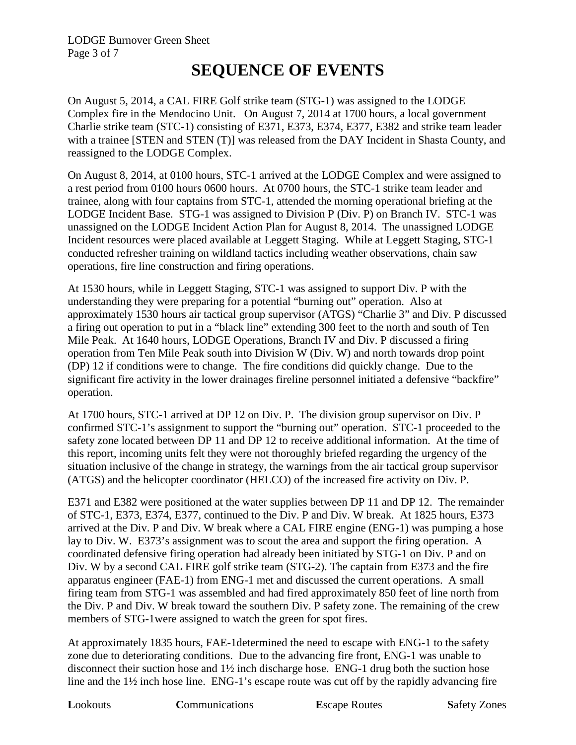### **SEQUENCE OF EVENTS**

On August 5, 2014, a CAL FIRE Golf strike team (STG-1) was assigned to the LODGE Complex fire in the Mendocino Unit. On August 7, 2014 at 1700 hours, a local government Charlie strike team (STC-1) consisting of E371, E373, E374, E377, E382 and strike team leader with a trainee [STEN and STEN (T)] was released from the DAY Incident in Shasta County, and reassigned to the LODGE Complex.

On August 8, 2014, at 0100 hours, STC-1 arrived at the LODGE Complex and were assigned to a rest period from 0100 hours 0600 hours. At 0700 hours, the STC-1 strike team leader and trainee, along with four captains from STC-1, attended the morning operational briefing at the LODGE Incident Base. STG-1 was assigned to Division P (Div. P) on Branch IV. STC-1 was unassigned on the LODGE Incident Action Plan for August 8, 2014. The unassigned LODGE Incident resources were placed available at Leggett Staging. While at Leggett Staging, STC-1 conducted refresher training on wildland tactics including weather observations, chain saw operations, fire line construction and firing operations.

At 1530 hours, while in Leggett Staging, STC-1 was assigned to support Div. P with the understanding they were preparing for a potential "burning out" operation. Also at approximately 1530 hours air tactical group supervisor (ATGS) "Charlie 3" and Div. P discussed a firing out operation to put in a "black line" extending 300 feet to the north and south of Ten Mile Peak. At 1640 hours, LODGE Operations, Branch IV and Div. P discussed a firing operation from Ten Mile Peak south into Division W (Div. W) and north towards drop point (DP) 12 if conditions were to change. The fire conditions did quickly change. Due to the significant fire activity in the lower drainages fireline personnel initiated a defensive "backfire" operation.

At 1700 hours, STC-1 arrived at DP 12 on Div. P. The division group supervisor on Div. P confirmed STC-1's assignment to support the "burning out" operation. STC-1 proceeded to the safety zone located between DP 11 and DP 12 to receive additional information. At the time of this report, incoming units felt they were not thoroughly briefed regarding the urgency of the situation inclusive of the change in strategy, the warnings from the air tactical group supervisor (ATGS) and the helicopter coordinator (HELCO) of the increased fire activity on Div. P.

E371 and E382 were positioned at the water supplies between DP 11 and DP 12. The remainder of STC-1, E373, E374, E377, continued to the Div. P and Div. W break. At 1825 hours, E373 arrived at the Div. P and Div. W break where a CAL FIRE engine (ENG-1) was pumping a hose lay to Div. W. E373's assignment was to scout the area and support the firing operation. A coordinated defensive firing operation had already been initiated by STG-1 on Div. P and on Div. W by a second CAL FIRE golf strike team (STG-2). The captain from E373 and the fire apparatus engineer (FAE-1) from ENG-1 met and discussed the current operations. A small firing team from STG-1 was assembled and had fired approximately 850 feet of line north from the Div. P and Div. W break toward the southern Div. P safety zone. The remaining of the crew members of STG-1were assigned to watch the green for spot fires.

At approximately 1835 hours, FAE-1determined the need to escape with ENG-1 to the safety zone due to deteriorating conditions. Due to the advancing fire front, ENG-1 was unable to disconnect their suction hose and 1½ inch discharge hose. ENG-1 drug both the suction hose line and the 1<sup>1</sup>/<sub>2</sub> inch hose line. ENG-1's escape route was cut off by the rapidly advancing fire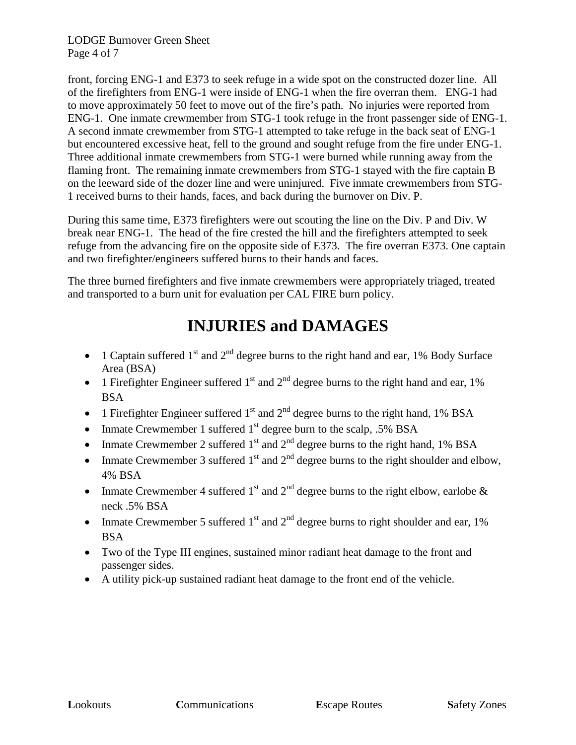LODGE Burnover Green Sheet Page 4 of 7

front, forcing ENG-1 and E373 to seek refuge in a wide spot on the constructed dozer line. All of the firefighters from ENG-1 were inside of ENG-1 when the fire overran them. ENG-1 had to move approximately 50 feet to move out of the fire's path. No injuries were reported from ENG-1. One inmate crewmember from STG-1 took refuge in the front passenger side of ENG-1. A second inmate crewmember from STG-1 attempted to take refuge in the back seat of ENG-1 but encountered excessive heat, fell to the ground and sought refuge from the fire under ENG-1. Three additional inmate crewmembers from STG-1 were burned while running away from the flaming front. The remaining inmate crewmembers from STG-1 stayed with the fire captain B on the leeward side of the dozer line and were uninjured. Five inmate crewmembers from STG-1 received burns to their hands, faces, and back during the burnover on Div. P.

During this same time, E373 firefighters were out scouting the line on the Div. P and Div. W break near ENG-1. The head of the fire crested the hill and the firefighters attempted to seek refuge from the advancing fire on the opposite side of E373. The fire overran E373. One captain and two firefighter/engineers suffered burns to their hands and faces.

The three burned firefighters and five inmate crewmembers were appropriately triaged, treated and transported to a burn unit for evaluation per CAL FIRE burn policy.

# **INJURIES and DAMAGES**

- 1 Captain suffered  $1<sup>st</sup>$  and  $2<sup>nd</sup>$  degree burns to the right hand and ear, 1% Body Surface Area (BSA)
- 1 Firefighter Engineer suffered  $1<sup>st</sup>$  and  $2<sup>nd</sup>$  degree burns to the right hand and ear, 1% BSA
- 1 Firefighter Engineer suffered  $1<sup>st</sup>$  and  $2<sup>nd</sup>$  degree burns to the right hand, 1% BSA
- Inmate Crewmember 1 suffered  $1<sup>st</sup>$  degree burn to the scalp, .5% BSA
- Inmate Crewmember 2 suffered  $1<sup>st</sup>$  and  $2<sup>nd</sup>$  degree burns to the right hand, 1% BSA
- Inmate Crewmember 3 suffered  $1<sup>st</sup>$  and  $2<sup>nd</sup>$  degree burns to the right shoulder and elbow, 4% BSA
- Inmate Crewmember 4 suffered  $1<sup>st</sup>$  and  $2<sup>nd</sup>$  degree burns to the right elbow, earlobe  $\&$ neck .5% BSA
- Inmate Crewmember 5 suffered  $1<sup>st</sup>$  and  $2<sup>nd</sup>$  degree burns to right shoulder and ear, 1% BSA
- Two of the Type III engines, sustained minor radiant heat damage to the front and passenger sides.
- A utility pick-up sustained radiant heat damage to the front end of the vehicle.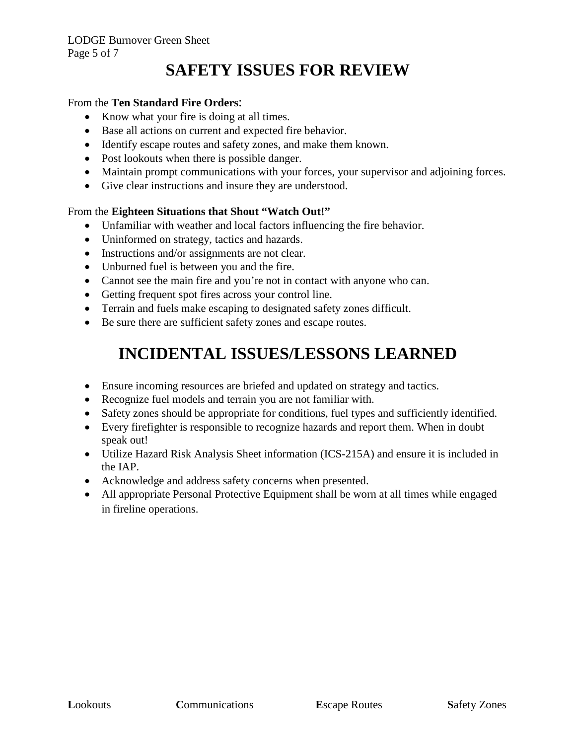# **SAFETY ISSUES FOR REVIEW**

#### From the **Ten Standard Fire Orders**:

- Know what your fire is doing at all times.
- Base all actions on current and expected fire behavior.
- Identify escape routes and safety zones, and make them known.
- Post lookouts when there is possible danger.
- Maintain prompt communications with your forces, your supervisor and adjoining forces.
- Give clear instructions and insure they are understood.

#### From the **Eighteen Situations that Shout "Watch Out!"**

- Unfamiliar with weather and local factors influencing the fire behavior.
- Uninformed on strategy, tactics and hazards.
- Instructions and/or assignments are not clear.
- Unburned fuel is between you and the fire.
- Cannot see the main fire and you're not in contact with anyone who can.
- Getting frequent spot fires across your control line.
- Terrain and fuels make escaping to designated safety zones difficult.
- Be sure there are sufficient safety zones and escape routes.

# **INCIDENTAL ISSUES/LESSONS LEARNED**

- Ensure incoming resources are briefed and updated on strategy and tactics.
- Recognize fuel models and terrain you are not familiar with.
- Safety zones should be appropriate for conditions, fuel types and sufficiently identified.
- Every firefighter is responsible to recognize hazards and report them. When in doubt speak out!
- Utilize Hazard Risk Analysis Sheet information (ICS-215A) and ensure it is included in the IAP.
- Acknowledge and address safety concerns when presented.
- All appropriate Personal Protective Equipment shall be worn at all times while engaged in fireline operations.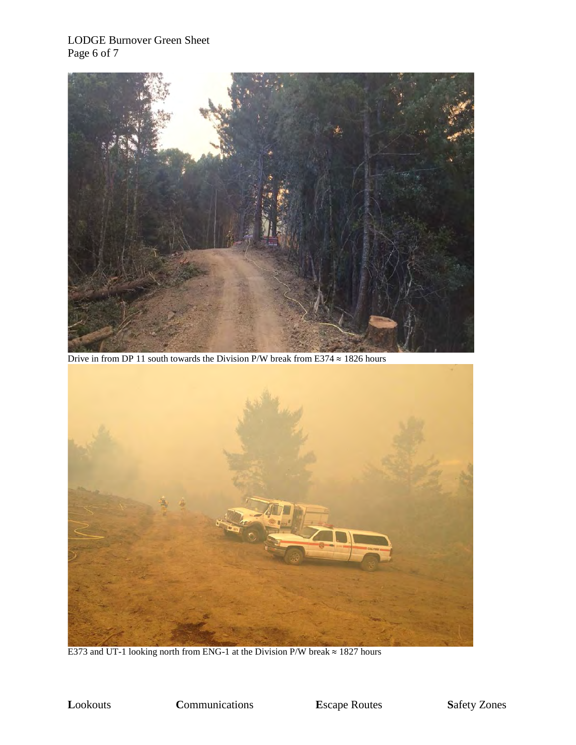#### LODGE Burnover Green Sheet Page 6 of 7



Drive in from DP 11 south towards the Division P/W break from E374  $\approx$  1826 hours



E373 and UT-1 looking north from ENG-1 at the Division P/W break  $\approx$  1827 hours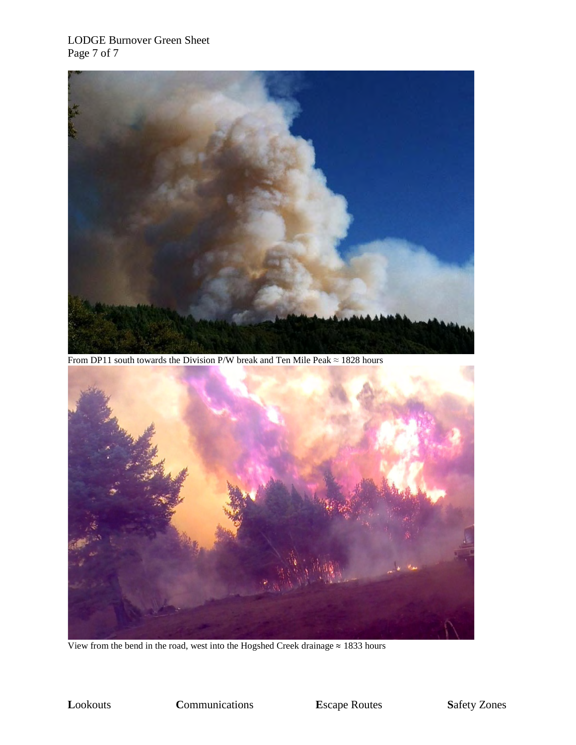#### LODGE Burnover Green Sheet Page 7 of 7



From DP11 south towards the Division P/W break and Ten Mile Peak  $\approx$  1828 hours



View from the bend in the road, west into the Hogshed Creek drainage  $\approx 1833$  hours